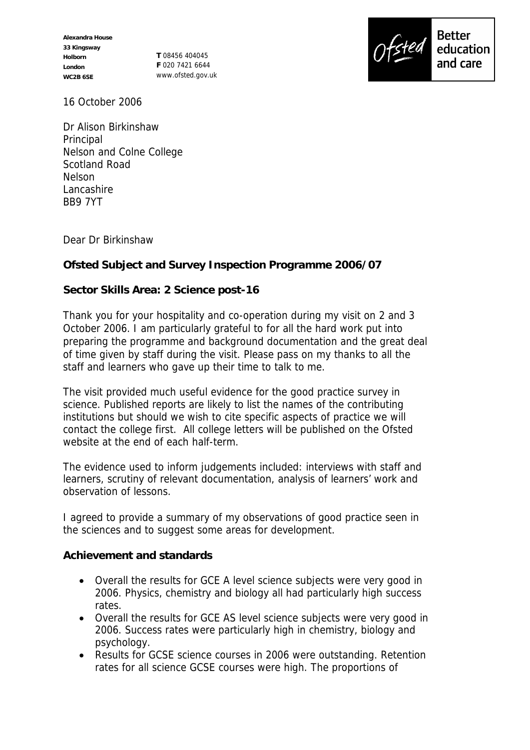**Alexandra House 33 Kingsway Holborn London WC2B 6SE**

**T** 08456 404045 **F** 020 7421 6644 www.ofsted.gov.uk



16 October 2006

Dr Alison Birkinshaw **Principal** Nelson and Colne College Scotland Road Nelson Lancashire BB9 7YT

Dear Dr Birkinshaw

**Ofsted Subject and Survey Inspection Programme 2006/07**

**Sector Skills Area: 2 Science post-16**

Thank you for your hospitality and co-operation during my visit on 2 and 3 October 2006. I am particularly grateful to for all the hard work put into preparing the programme and background documentation and the great deal of time given by staff during the visit. Please pass on my thanks to all the staff and learners who gave up their time to talk to me.

The visit provided much useful evidence for the good practice survey in science. Published reports are likely to list the names of the contributing institutions but should we wish to cite specific aspects of practice we will contact the college first. All college letters will be published on the Ofsted website at the end of each half-term.

The evidence used to inform judgements included: interviews with staff and learners, scrutiny of relevant documentation, analysis of learners' work and observation of lessons.

I agreed to provide a summary of my observations of good practice seen in the sciences and to suggest some areas for development.

**Achievement and standards**

- Overall the results for GCE A level science subjects were very good in 2006. Physics, chemistry and biology all had particularly high success rates.
- Overall the results for GCE AS level science subjects were very good in 2006. Success rates were particularly high in chemistry, biology and psychology.
- Results for GCSE science courses in 2006 were outstanding. Retention rates for all science GCSE courses were high. The proportions of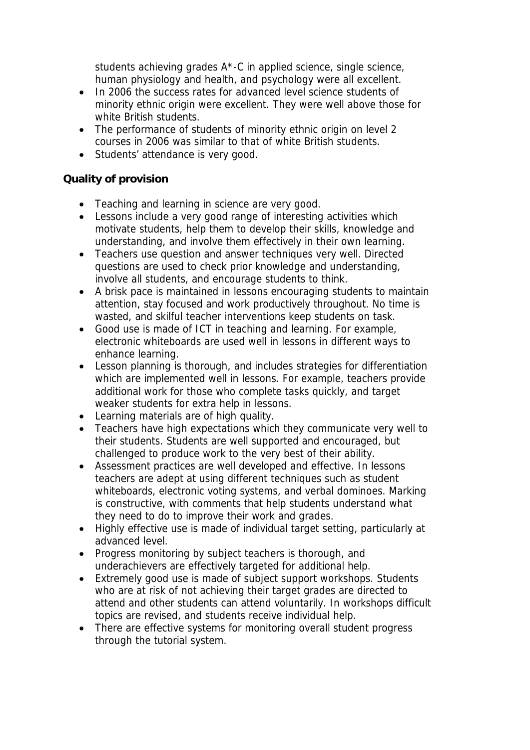students achieving grades A\*-C in applied science, single science, human physiology and health, and psychology were all excellent.

- In 2006 the success rates for advanced level science students of minority ethnic origin were excellent. They were well above those for white British students.
- The performance of students of minority ethnic origin on level 2 courses in 2006 was similar to that of white British students.
- Students' attendance is very good.

## **Quality of provision**

- Teaching and learning in science are very good.
- Lessons include a very good range of interesting activities which motivate students, help them to develop their skills, knowledge and understanding, and involve them effectively in their own learning.
- Teachers use question and answer techniques very well. Directed questions are used to check prior knowledge and understanding, involve all students, and encourage students to think.
- A brisk pace is maintained in lessons encouraging students to maintain attention, stay focused and work productively throughout. No time is wasted, and skilful teacher interventions keep students on task.
- Good use is made of ICT in teaching and learning. For example, electronic whiteboards are used well in lessons in different ways to enhance learning.
- Lesson planning is thorough, and includes strategies for differentiation which are implemented well in lessons. For example, teachers provide additional work for those who complete tasks quickly, and target weaker students for extra help in lessons.
- Learning materials are of high quality.
- Teachers have high expectations which they communicate very well to their students. Students are well supported and encouraged, but challenged to produce work to the very best of their ability.
- Assessment practices are well developed and effective. In lessons teachers are adept at using different techniques such as student whiteboards, electronic voting systems, and verbal dominoes. Marking is constructive, with comments that help students understand what they need to do to improve their work and grades.
- Highly effective use is made of individual target setting, particularly at advanced level.
- Progress monitoring by subject teachers is thorough, and underachievers are effectively targeted for additional help.
- Extremely good use is made of subject support workshops. Students who are at risk of not achieving their target grades are directed to attend and other students can attend voluntarily. In workshops difficult topics are revised, and students receive individual help.
- There are effective systems for monitoring overall student progress through the tutorial system.